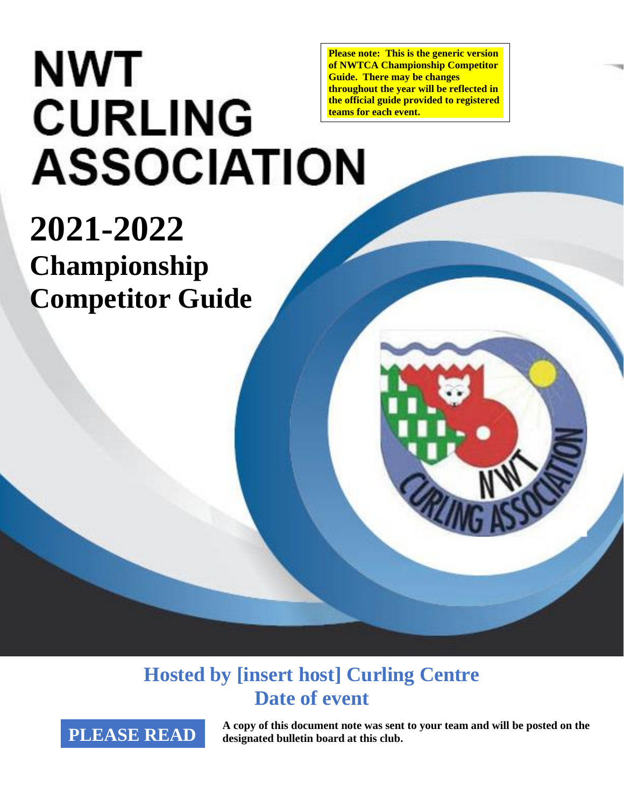# **NWT CURLING ASSOCIATION**

**Please note: This is the generic version of NWTCA Championship Competitor Guide. There may be changes throughout the year will be reflected in the official guide provided to registered teams for each event.**

# **2021-2022 Championship Competitor Guide**

**Hosted by [insert host] Curling Centre Date of event**

**PLEASE READ A copy of this document note was sent to your team and will be posted on the designated bulletin board at this club. designated bulletin board at this club.**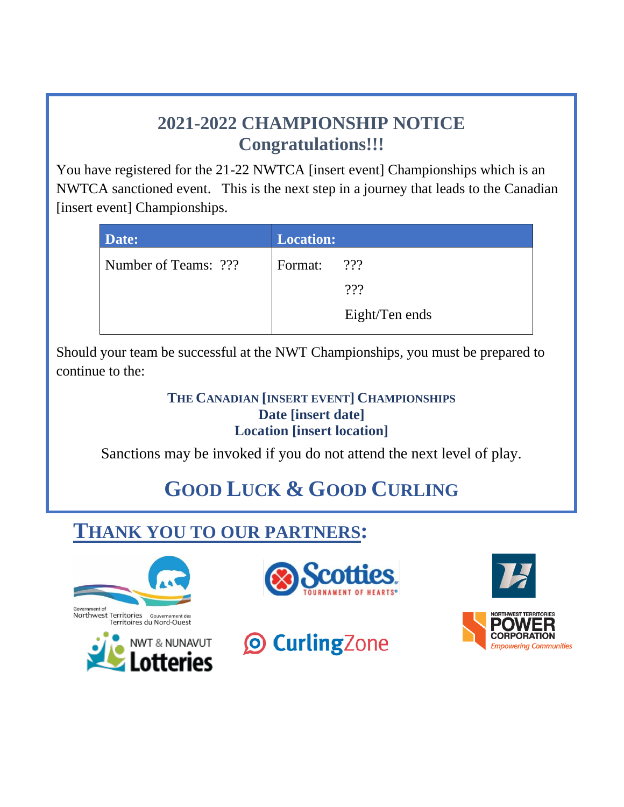### **2021-2022 CHAMPIONSHIP NOTICE Congratulations!!!**

You have registered for the 21-22 NWTCA [insert event] Championships which is an NWTCA sanctioned event. This is the next step in a journey that leads to the Canadian [insert event] Championships.

| Date:                | <b>Location:</b> |                |
|----------------------|------------------|----------------|
| Number of Teams: ??? | Format:          | 222            |
|                      |                  | 222            |
|                      |                  | Eight/Ten ends |

Should your team be successful at the NWT Championships, you must be prepared to continue to the:

#### **THE CANADIAN [INSERT EVENT] CHAMPIONSHIPS Date [insert date] Location [insert location]**

Sanctions may be invoked if you do not attend the next level of play.

# **GOOD LUCK & GOOD CURLING**

# **THANK YOU TO OUR PARTNERS:**









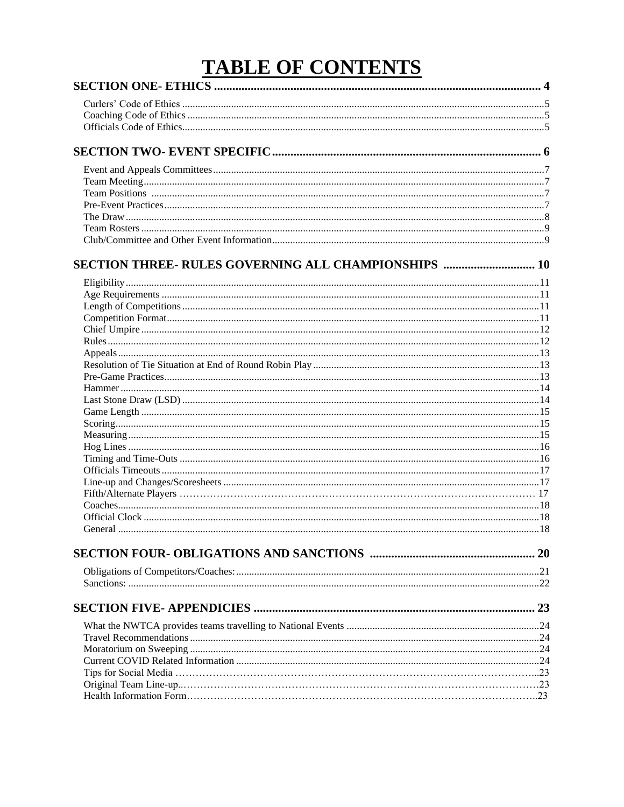# **TABLE OF CONTENTS**

| SECTION THREE- RULES GOVERNING ALL CHAMPIONSHIPS  10 |  |
|------------------------------------------------------|--|
|                                                      |  |
|                                                      |  |
|                                                      |  |
|                                                      |  |
|                                                      |  |
|                                                      |  |
|                                                      |  |
|                                                      |  |
|                                                      |  |
|                                                      |  |
|                                                      |  |
|                                                      |  |
|                                                      |  |
|                                                      |  |
|                                                      |  |
|                                                      |  |
|                                                      |  |
|                                                      |  |
|                                                      |  |
|                                                      |  |
|                                                      |  |
|                                                      |  |
|                                                      |  |
|                                                      |  |
|                                                      |  |
|                                                      |  |
|                                                      |  |
|                                                      |  |
|                                                      |  |
|                                                      |  |
|                                                      |  |
|                                                      |  |
|                                                      |  |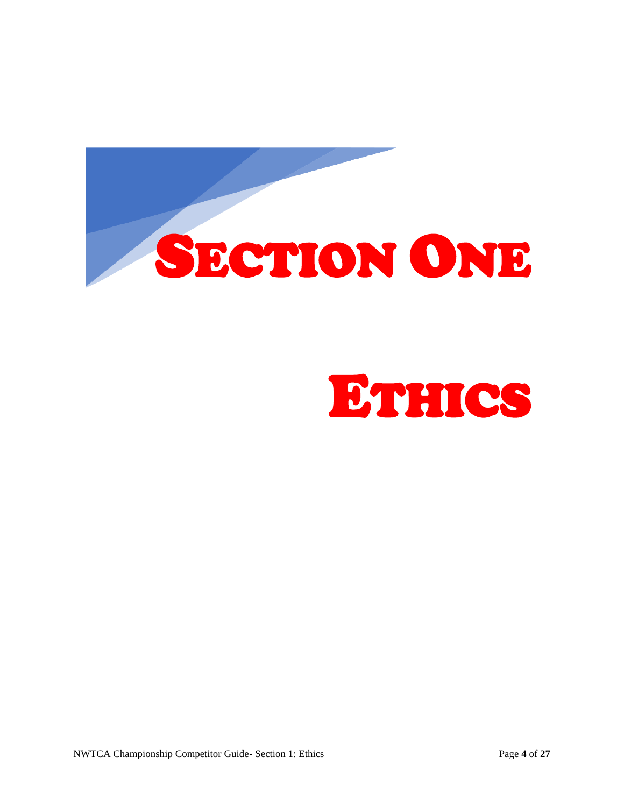<span id="page-3-0"></span>

# ETHICS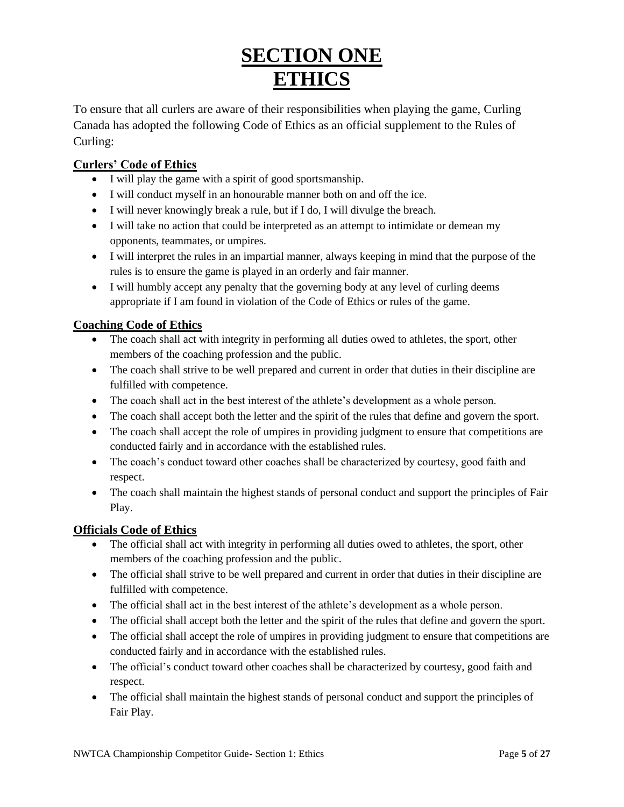## **SECTION ONE ETHICS**

To ensure that all curlers are aware of their responsibilities when playing the game, Curling Canada has adopted the following Code of Ethics as an official supplement to the Rules of Curling:

#### <span id="page-4-0"></span>**Curlers' Code of Ethics**

- I will play the game with a spirit of good sportsmanship.
- I will conduct myself in an honourable manner both on and off the ice.
- I will never knowingly break a rule, but if I do, I will divulge the breach.
- I will take no action that could be interpreted as an attempt to intimidate or demean my opponents, teammates, or umpires.
- I will interpret the rules in an impartial manner, always keeping in mind that the purpose of the rules is to ensure the game is played in an orderly and fair manner.
- I will humbly accept any penalty that the governing body at any level of curling deems appropriate if I am found in violation of the Code of Ethics or rules of the game.

#### <span id="page-4-1"></span>**Coaching Code of Ethics**

- The coach shall act with integrity in performing all duties owed to athletes, the sport, other members of the coaching profession and the public.
- The coach shall strive to be well prepared and current in order that duties in their discipline are fulfilled with competence.
- The coach shall act in the best interest of the athlete's development as a whole person.
- The coach shall accept both the letter and the spirit of the rules that define and govern the sport.
- The coach shall accept the role of umpires in providing judgment to ensure that competitions are conducted fairly and in accordance with the established rules.
- The coach's conduct toward other coaches shall be characterized by courtesy, good faith and respect.
- The coach shall maintain the highest stands of personal conduct and support the principles of Fair Play.

#### <span id="page-4-2"></span>**Officials Code of Ethics**

- The official shall act with integrity in performing all duties owed to athletes, the sport, other members of the coaching profession and the public.
- The official shall strive to be well prepared and current in order that duties in their discipline are fulfilled with competence.
- The official shall act in the best interest of the athlete's development as a whole person.
- The official shall accept both the letter and the spirit of the rules that define and govern the sport.
- The official shall accept the role of umpires in providing judgment to ensure that competitions are conducted fairly and in accordance with the established rules.
- The official's conduct toward other coaches shall be characterized by courtesy, good faith and respect.
- The official shall maintain the highest stands of personal conduct and support the principles of Fair Play.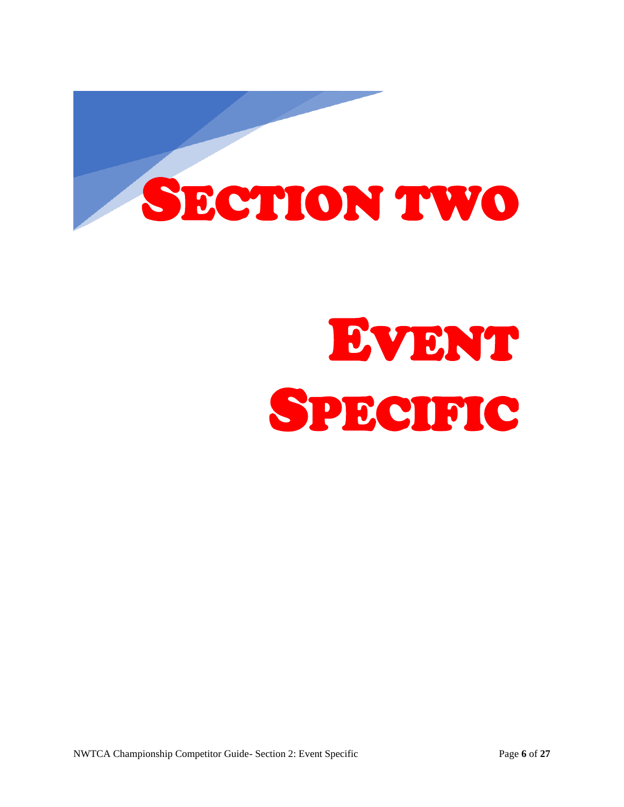<span id="page-5-0"></span>

# EVENT SPECIFIC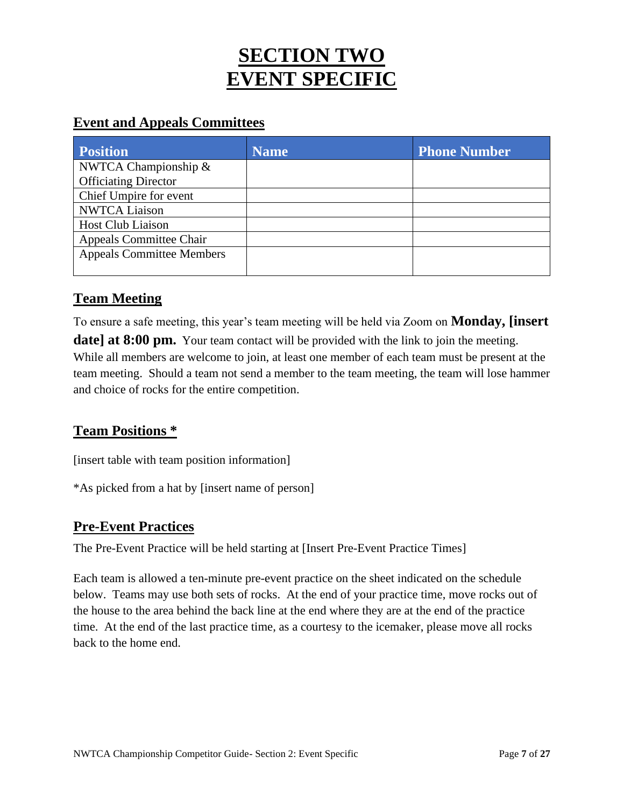## **SECTION TWO EVENT SPECIFIC**

#### <span id="page-6-0"></span>**Event and Appeals Committees**

| <b>Position</b>                  | Name | <b>Phone Number</b> |
|----------------------------------|------|---------------------|
| NWTCA Championship $\&$          |      |                     |
| <b>Officiating Director</b>      |      |                     |
| Chief Umpire for event           |      |                     |
| <b>NWTCA Liaison</b>             |      |                     |
| <b>Host Club Liaison</b>         |      |                     |
| <b>Appeals Committee Chair</b>   |      |                     |
| <b>Appeals Committee Members</b> |      |                     |
|                                  |      |                     |

#### <span id="page-6-1"></span>**Team Meeting**

To ensure a safe meeting, this year's team meeting will be held via Zoom on **Monday, [insert date] at 8:00 pm.** Your team contact will be provided with the link to join the meeting. While all members are welcome to join, at least one member of each team must be present at the team meeting. Should a team not send a member to the team meeting, the team will lose hammer and choice of rocks for the entire competition.

#### <span id="page-6-2"></span>**Team Positions \***

[insert table with team position information]

\*As picked from a hat by [insert name of person]

#### <span id="page-6-3"></span>**Pre-Event Practices**

The Pre-Event Practice will be held starting at [Insert Pre-Event Practice Times]

<span id="page-6-4"></span>Each team is allowed a ten-minute pre-event practice on the sheet indicated on the schedule below. Teams may use both sets of rocks. At the end of your practice time, move rocks out of the house to the area behind the back line at the end where they are at the end of the practice time. At the end of the last practice time, as a courtesy to the icemaker, please move all rocks back to the home end.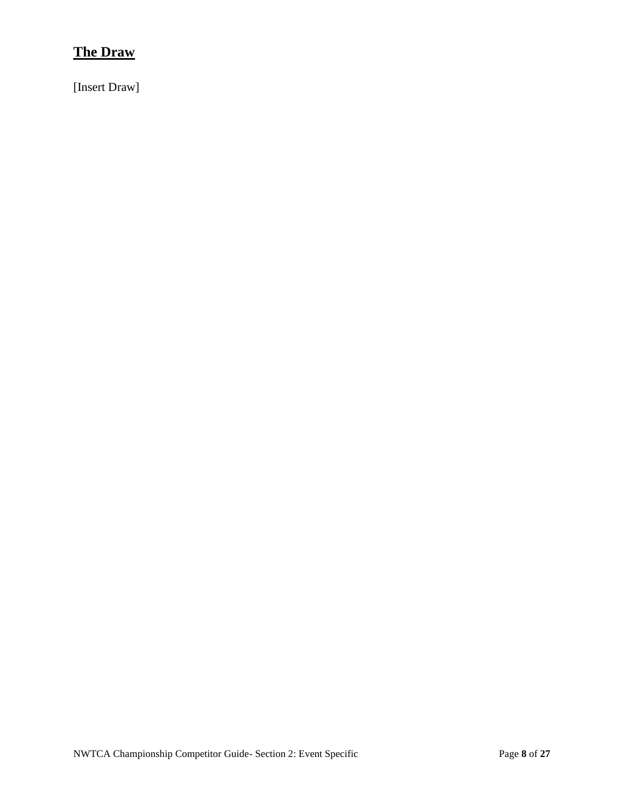#### **The Draw**

<span id="page-7-0"></span>[Insert Draw]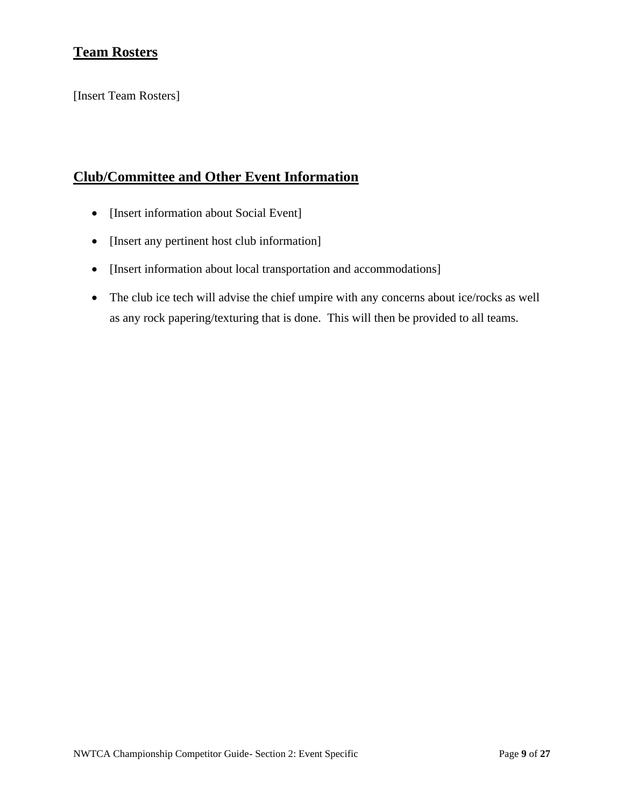#### **Team Rosters**

[Insert Team Rosters]

#### <span id="page-8-0"></span>**Club/Committee and Other Event Information**

- [Insert information about Social Event]
- [Insert any pertinent host club information]
- [Insert information about local transportation and accommodations]
- The club ice tech will advise the chief umpire with any concerns about ice/rocks as well as any rock papering/texturing that is done. This will then be provided to all teams.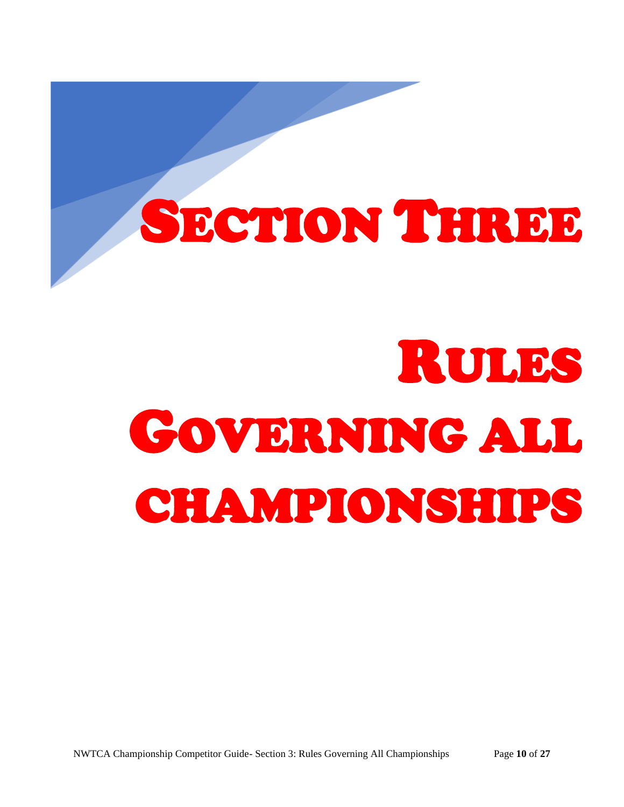# <span id="page-9-0"></span>SECTION THREE

# RULES GOVERNING ALL CHAMPIONSHIPS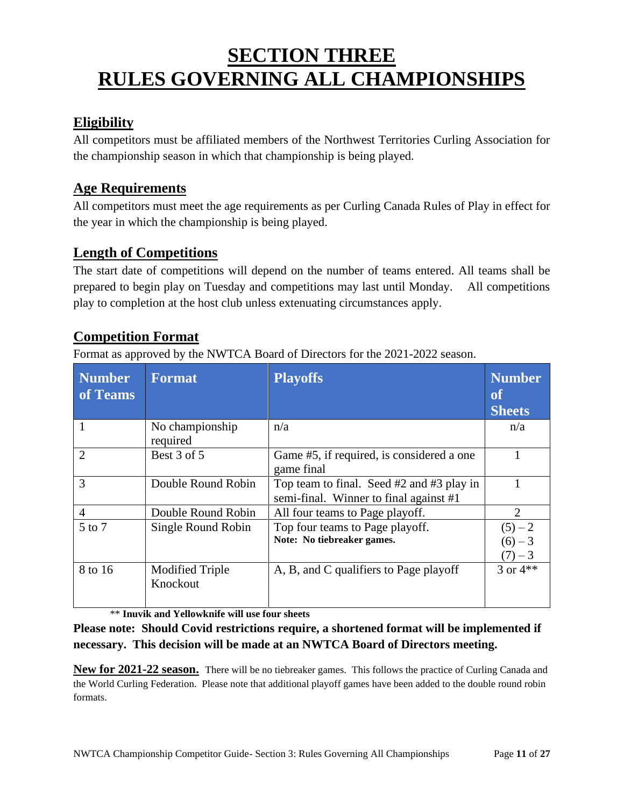## **SECTION THREE RULES GOVERNING ALL CHAMPIONSHIPS**

#### <span id="page-10-0"></span>**Eligibility**

All competitors must be affiliated members of the Northwest Territories Curling Association for the championship season in which that championship is being played.

#### <span id="page-10-1"></span>**Age Requirements**

All competitors must meet the age requirements as per Curling Canada Rules of Play in effect for the year in which the championship is being played.

#### <span id="page-10-2"></span>**Length of Competitions**

The start date of competitions will depend on the number of teams entered. All teams shall be prepared to begin play on Tuesday and competitions may last until Monday. All competitions play to completion at the host club unless extenuating circumstances apply.

#### <span id="page-10-3"></span>**Competition Format**

Format as approved by the NWTCA Board of Directors for the 2021-2022 season.

| <b>Number</b><br>of Teams | <b>Format</b>                      | <b>Playoffs</b>                                                                         | <b>Number</b><br>of<br><b>Sheets</b> |
|---------------------------|------------------------------------|-----------------------------------------------------------------------------------------|--------------------------------------|
|                           | No championship<br>required        | n/a                                                                                     | n/a                                  |
| $\overline{2}$            | Best 3 of 5                        | Game #5, if required, is considered a one<br>game final                                 |                                      |
| 3                         | Double Round Robin                 | Top team to final. Seed $#2$ and $#3$ play in<br>semi-final. Winner to final against #1 |                                      |
| $\overline{A}$            | Double Round Robin                 | All four teams to Page playoff.                                                         | 2                                    |
| 5 to 7                    | Single Round Robin                 | Top four teams to Page playoff.<br>Note: No tiebreaker games.                           | $(5) - 2$<br>$(6) - 3$<br>$(7) - 3$  |
| 8 to 16                   | <b>Modified Triple</b><br>Knockout | A, B, and C qualifiers to Page playoff                                                  | 3 or $4**$                           |

\*\* **Inuvik and Yellowknife will use four sheets** 

**Please note: Should Covid restrictions require, a shortened format will be implemented if necessary. This decision will be made at an NWTCA Board of Directors meeting.**

**New for 2021-22 season.** There will be no tiebreaker games. This follows the practice of Curling Canada and the World Curling Federation. Please note that additional playoff games have been added to the double round robin formats.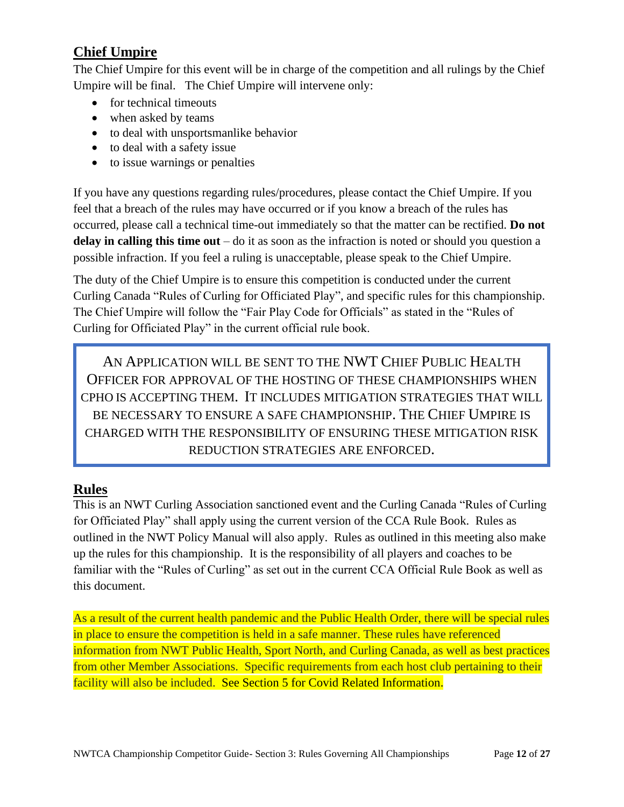#### <span id="page-11-0"></span>**Chief Umpire**

The Chief Umpire for this event will be in charge of the competition and all rulings by the Chief Umpire will be final. The Chief Umpire will intervene only:

- for technical timeouts
- when asked by teams
- to deal with unsportsmanlike behavior
- to deal with a safety issue
- to issue warnings or penalties

If you have any questions regarding rules/procedures, please contact the Chief Umpire. If you feel that a breach of the rules may have occurred or if you know a breach of the rules has occurred, please call a technical time-out immediately so that the matter can be rectified. **Do not delay in calling this time out** – do it as soon as the infraction is noted or should you question a possible infraction. If you feel a ruling is unacceptable, please speak to the Chief Umpire.

The duty of the Chief Umpire is to ensure this competition is conducted under the current Curling Canada "Rules of Curling for Officiated Play", and specific rules for this championship. The Chief Umpire will follow the "Fair Play Code for Officials" as stated in the "Rules of Curling for Officiated Play" in the current official rule book.

AN APPLICATION WILL BE SENT TO THE NWT CHIEF PUBLIC HEALTH OFFICER FOR APPROVAL OF THE HOSTING OF THESE CHAMPIONSHIPS WHEN CPHO IS ACCEPTING THEM. IT INCLUDES MITIGATION STRATEGIES THAT WILL BE NECESSARY TO ENSURE A SAFE CHAMPIONSHIP. THE CHIEF UMPIRE IS CHARGED WITH THE RESPONSIBILITY OF ENSURING THESE MITIGATION RISK REDUCTION STRATEGIES ARE ENFORCED.

#### <span id="page-11-1"></span>**Rules**

This is an NWT Curling Association sanctioned event and the Curling Canada "Rules of Curling for Officiated Play" shall apply using the current version of the CCA Rule Book. Rules as outlined in the NWT Policy Manual will also apply. Rules as outlined in this meeting also make up the rules for this championship. It is the responsibility of all players and coaches to be familiar with the "Rules of Curling" as set out in the current CCA Official Rule Book as well as this document.

<span id="page-11-2"></span>As a result of the current health pandemic and the Public Health Order, there will be special rules in place to ensure the competition is held in a safe manner. These rules have referenced information from NWT Public Health, Sport North, and Curling Canada, as well as best practices from other Member Associations. Specific requirements from each host club pertaining to their facility will also be included. See Section 5 for Covid Related Information.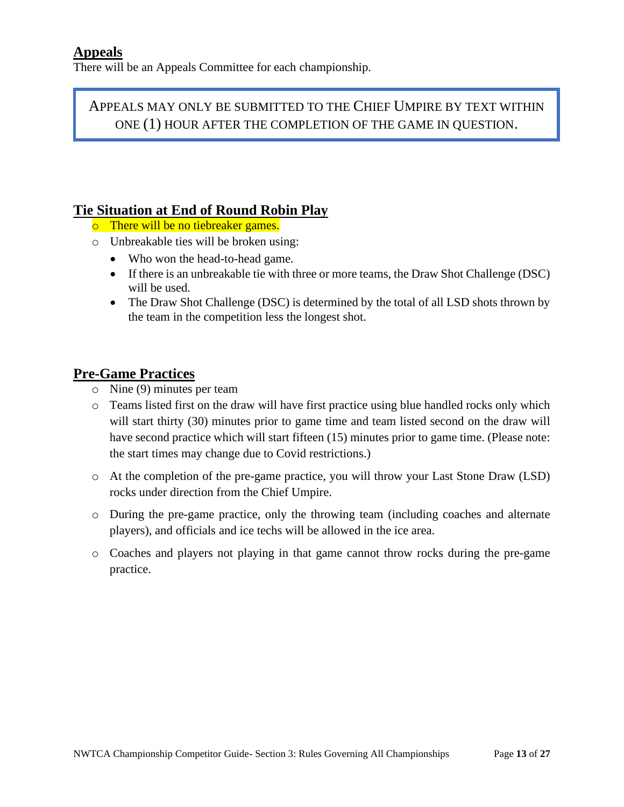There will be an Appeals Committee for each championship.

APPEALS MAY ONLY BE SUBMITTED TO THE CHIEF UMPIRE BY TEXT WITHIN ONE (1) HOUR AFTER THE COMPLETION OF THE GAME IN QUESTION.

#### <span id="page-12-0"></span>**Tie Situation at End of Round Robin Play**

- o There will be no tiebreaker games.
- o Unbreakable ties will be broken using:
	- Who won the head-to-head game.
	- If there is an unbreakable tie with three or more teams, the Draw Shot Challenge (DSC) will be used.
	- The Draw Shot Challenge (DSC) is determined by the total of all LSD shots thrown by the team in the competition less the longest shot.

#### <span id="page-12-1"></span>**Pre-Game Practices**

- o Nine (9) minutes per team
- o Teams listed first on the draw will have first practice using blue handled rocks only which will start thirty (30) minutes prior to game time and team listed second on the draw will have second practice which will start fifteen (15) minutes prior to game time. (Please note: the start times may change due to Covid restrictions.)
- o At the completion of the pre-game practice, you will throw your Last Stone Draw (LSD) rocks under direction from the Chief Umpire.
- o During the pre-game practice, only the throwing team (including coaches and alternate players), and officials and ice techs will be allowed in the ice area.
- <span id="page-12-2"></span>o Coaches and players not playing in that game cannot throw rocks during the pre-game practice.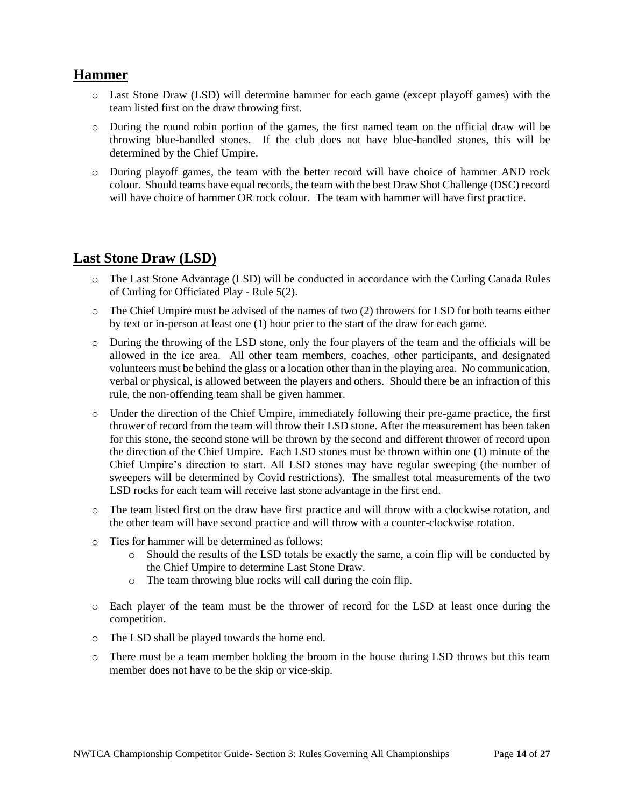#### **Hammer**

- o Last Stone Draw (LSD) will determine hammer for each game (except playoff games) with the team listed first on the draw throwing first.
- o During the round robin portion of the games, the first named team on the official draw will be throwing blue-handled stones. If the club does not have blue-handled stones, this will be determined by the Chief Umpire.
- o During playoff games, the team with the better record will have choice of hammer AND rock colour. Should teams have equal records, the team with the best Draw Shot Challenge (DSC) record will have choice of hammer OR rock colour. The team with hammer will have first practice.

#### <span id="page-13-0"></span>**Last Stone Draw (LSD)**

- o The Last Stone Advantage (LSD) will be conducted in accordance with the Curling Canada Rules of Curling for Officiated Play - Rule 5(2).
- $\circ$  The Chief Umpire must be advised of the names of two (2) throwers for LSD for both teams either by text or in-person at least one (1) hour prier to the start of the draw for each game.
- o During the throwing of the LSD stone, only the four players of the team and the officials will be allowed in the ice area. All other team members, coaches, other participants, and designated volunteers must be behind the glass or a location other than in the playing area. No communication, verbal or physical, is allowed between the players and others. Should there be an infraction of this rule, the non-offending team shall be given hammer.
- o Under the direction of the Chief Umpire, immediately following their pre-game practice, the first thrower of record from the team will throw their LSD stone. After the measurement has been taken for this stone, the second stone will be thrown by the second and different thrower of record upon the direction of the Chief Umpire. Each LSD stones must be thrown within one (1) minute of the Chief Umpire's direction to start. All LSD stones may have regular sweeping (the number of sweepers will be determined by Covid restrictions). The smallest total measurements of the two LSD rocks for each team will receive last stone advantage in the first end.
- o The team listed first on the draw have first practice and will throw with a clockwise rotation, and the other team will have second practice and will throw with a counter-clockwise rotation.
- o Ties for hammer will be determined as follows:
	- o Should the results of the LSD totals be exactly the same, a coin flip will be conducted by the Chief Umpire to determine Last Stone Draw.
	- o The team throwing blue rocks will call during the coin flip.
- o Each player of the team must be the thrower of record for the LSD at least once during the competition.
- o The LSD shall be played towards the home end.
- <span id="page-13-1"></span>o There must be a team member holding the broom in the house during LSD throws but this team member does not have to be the skip or vice-skip.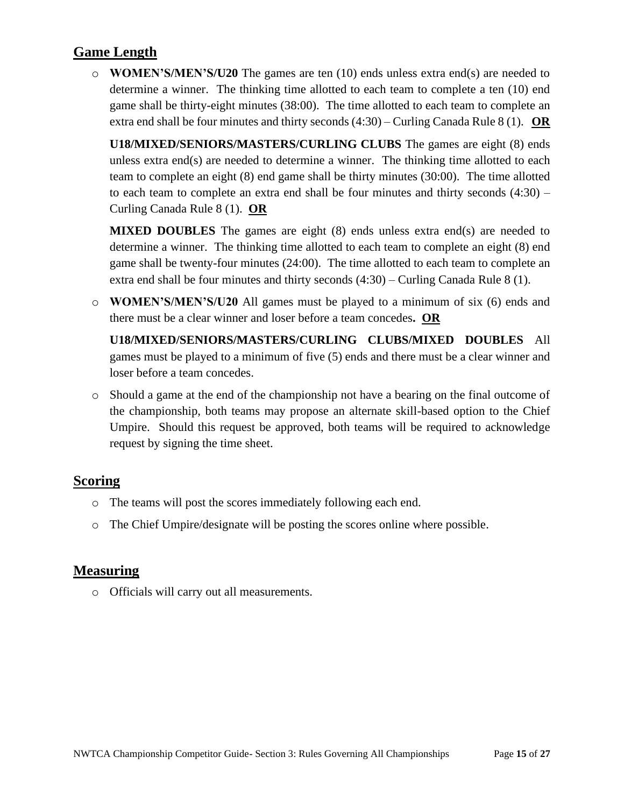#### **Game Length**

o **WOMEN'S/MEN'S/U20** The games are ten (10) ends unless extra end(s) are needed to determine a winner. The thinking time allotted to each team to complete a ten (10) end game shall be thirty-eight minutes (38:00). The time allotted to each team to complete an extra end shall be four minutes and thirty seconds (4:30) – Curling Canada Rule 8 (1). **OR**

**U18/MIXED/SENIORS/MASTERS/CURLING CLUBS** The games are eight (8) ends unless extra end(s) are needed to determine a winner. The thinking time allotted to each team to complete an eight (8) end game shall be thirty minutes (30:00). The time allotted to each team to complete an extra end shall be four minutes and thirty seconds  $(4:30)$  – Curling Canada Rule 8 (1). **OR**

**MIXED DOUBLES** The games are eight (8) ends unless extra end(s) are needed to determine a winner. The thinking time allotted to each team to complete an eight (8) end game shall be twenty-four minutes (24:00). The time allotted to each team to complete an extra end shall be four minutes and thirty seconds (4:30) – Curling Canada Rule 8 (1).

o **WOMEN'S/MEN'S/U20** All games must be played to a minimum of six (6) ends and there must be a clear winner and loser before a team concedes**. OR**

**U18/MIXED/SENIORS/MASTERS/CURLING CLUBS/MIXED DOUBLES** All games must be played to a minimum of five (5) ends and there must be a clear winner and loser before a team concedes.

o Should a game at the end of the championship not have a bearing on the final outcome of the championship, both teams may propose an alternate skill-based option to the Chief Umpire. Should this request be approved, both teams will be required to acknowledge request by signing the time sheet.

#### <span id="page-14-0"></span>**Scoring**

- o The teams will post the scores immediately following each end.
- o The Chief Umpire/designate will be posting the scores online where possible.

#### <span id="page-14-1"></span>**Measuring**

<span id="page-14-2"></span>o Officials will carry out all measurements.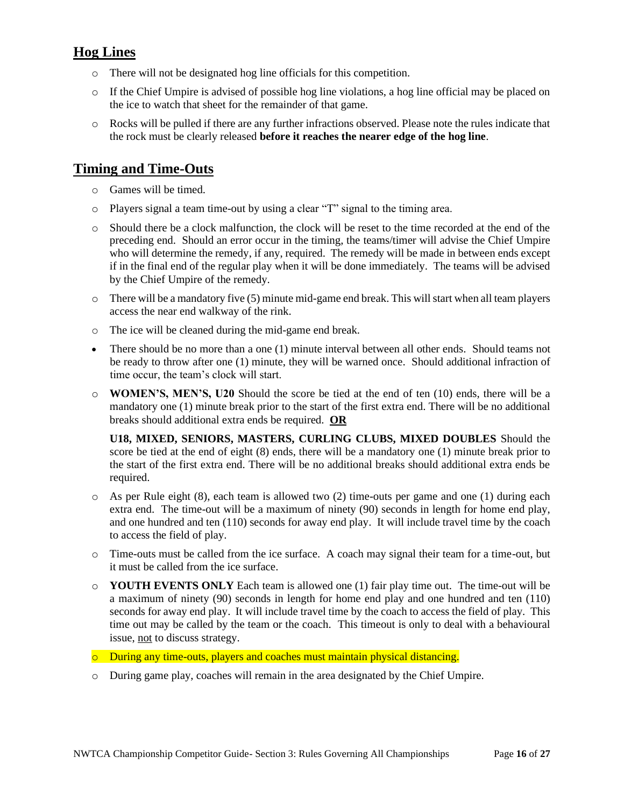#### **Hog Lines**

- o There will not be designated hog line officials for this competition.
- o If the Chief Umpire is advised of possible hog line violations, a hog line official may be placed on the ice to watch that sheet for the remainder of that game.
- o Rocks will be pulled if there are any further infractions observed. Please note the rules indicate that the rock must be clearly released **before it reaches the nearer edge of the hog line**.

#### <span id="page-15-0"></span>**Timing and Time-Outs**

- o Games will be timed.
- o Players signal a team time-out by using a clear "T" signal to the timing area.
- o Should there be a clock malfunction, the clock will be reset to the time recorded at the end of the preceding end. Should an error occur in the timing, the teams/timer will advise the Chief Umpire who will determine the remedy, if any, required. The remedy will be made in between ends except if in the final end of the regular play when it will be done immediately. The teams will be advised by the Chief Umpire of the remedy.
- $\circ$  There will be a mandatory five (5) minute mid-game end break. This will start when all team players access the near end walkway of the rink.
- o The ice will be cleaned during the mid-game end break.
- There should be no more than a one (1) minute interval between all other ends. Should teams not be ready to throw after one (1) minute, they will be warned once. Should additional infraction of time occur, the team's clock will start.
- o **WOMEN'S, MEN'S, U20** Should the score be tied at the end of ten (10) ends, there will be a mandatory one (1) minute break prior to the start of the first extra end. There will be no additional breaks should additional extra ends be required. **OR**

**U18, MIXED, SENIORS, MASTERS, CURLING CLUBS, MIXED DOUBLES** Should the score be tied at the end of eight (8) ends, there will be a mandatory one (1) minute break prior to the start of the first extra end. There will be no additional breaks should additional extra ends be required.

- $\circ$  As per Rule eight (8), each team is allowed two (2) time-outs per game and one (1) during each extra end. The time-out will be a maximum of ninety (90) seconds in length for home end play, and one hundred and ten (110) seconds for away end play. It will include travel time by the coach to access the field of play.
- o Time-outs must be called from the ice surface. A coach may signal their team for a time-out, but it must be called from the ice surface.
- o **YOUTH EVENTS ONLY** Each team is allowed one (1) fair play time out. The time-out will be a maximum of ninety (90) seconds in length for home end play and one hundred and ten (110) seconds for away end play. It will include travel time by the coach to access the field of play. This time out may be called by the team or the coach. This timeout is only to deal with a behavioural issue, not to discuss strategy.
- o During any time-outs, players and coaches must maintain physical distancing.
- <span id="page-15-1"></span>o During game play, coaches will remain in the area designated by the Chief Umpire.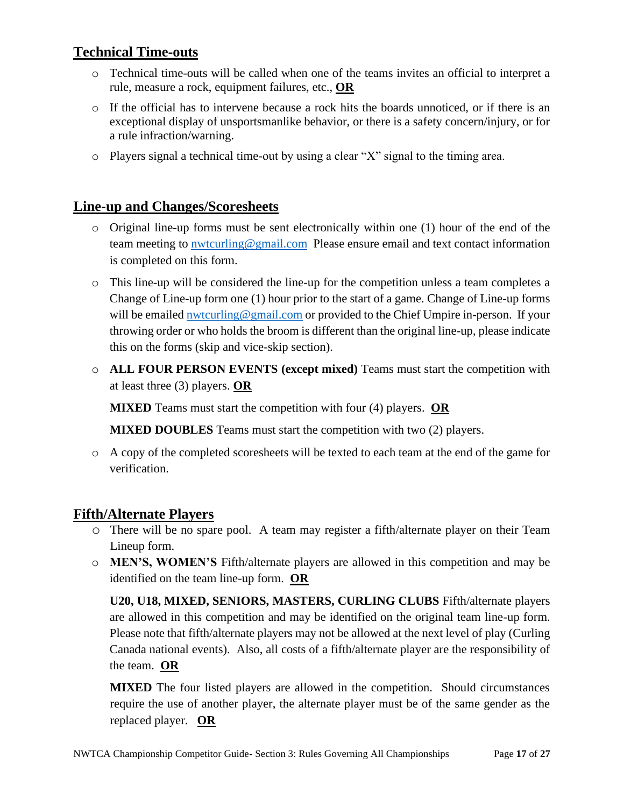#### **Technical Time-outs**

- o Technical time-outs will be called when one of the teams invites an official to interpret a rule, measure a rock, equipment failures, etc., **OR**
- $\circ$  If the official has to intervene because a rock hits the boards unnoticed, or if there is an exceptional display of unsportsmanlike behavior, or there is a safety concern/injury, or for a rule infraction/warning.
- o Players signal a technical time-out by using a clear "X" signal to the timing area.

#### <span id="page-16-0"></span>**Line-up and Changes/Scoresheets**

- o Original line-up forms must be sent electronically within one (1) hour of the end of the team meeting to [nwtcurling@gmail.com](mailto:nwtcurling@gmail.com) Please ensure email and text contact information is completed on this form.
- o This line-up will be considered the line-up for the competition unless a team completes a Change of Line-up form one (1) hour prior to the start of a game. Change of Line-up forms will be emailed [nwtcurling@gmail.com](mailto:nwtcurling@gmail.com) or provided to the Chief Umpire in-person. If your throwing order or who holds the broom is different than the original line-up, please indicate this on the forms (skip and vice-skip section).
- o **ALL FOUR PERSON EVENTS (except mixed)** Teams must start the competition with at least three (3) players. **OR**

**MIXED** Teams must start the competition with four (4) players. **OR**

**MIXED DOUBLES** Teams must start the competition with two (2) players.

o A copy of the completed scoresheets will be texted to each team at the end of the game for verification.

#### **Fifth/Alternate Players**

- o There will be no spare pool. A team may register a fifth/alternate player on their Team Lineup form.
- o **MEN'S, WOMEN'S** Fifth/alternate players are allowed in this competition and may be identified on the team line-up form. **OR**

**U20, U18, MIXED, SENIORS, MASTERS, CURLING CLUBS** Fifth/alternate players are allowed in this competition and may be identified on the original team line-up form. Please note that fifth/alternate players may not be allowed at the next level of play (Curling Canada national events). Also, all costs of a fifth/alternate player are the responsibility of the team. **OR**

**MIXED** The four listed players are allowed in the competition. Should circumstances require the use of another player, the alternate player must be of the same gender as the replaced player. **OR**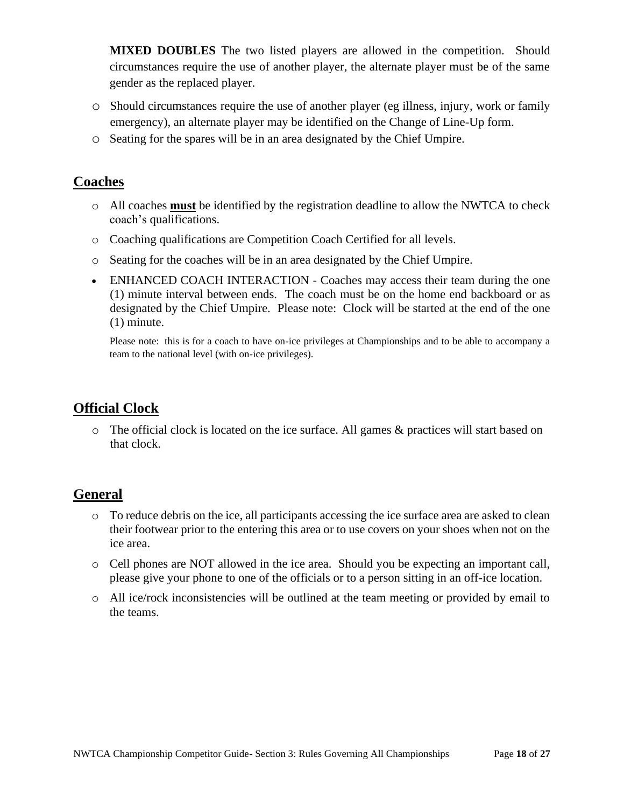**MIXED DOUBLES** The two listed players are allowed in the competition. Should circumstances require the use of another player, the alternate player must be of the same gender as the replaced player.

- o Should circumstances require the use of another player (eg illness, injury, work or family emergency), an alternate player may be identified on the Change of Line-Up form.
- o Seating for the spares will be in an area designated by the Chief Umpire.

#### **Coaches**

- o All coaches **must** be identified by the registration deadline to allow the NWTCA to check coach's qualifications.
- o Coaching qualifications are Competition Coach Certified for all levels.
- o Seating for the coaches will be in an area designated by the Chief Umpire.
- ENHANCED COACH INTERACTION Coaches may access their team during the one (1) minute interval between ends. The coach must be on the home end backboard or as designated by the Chief Umpire. Please note: Clock will be started at the end of the one (1) minute.

Please note: this is for a coach to have on-ice privileges at Championships and to be able to accompany a team to the national level (with on-ice privileges).

#### <span id="page-17-0"></span>**Official Clock**

o The official clock is located on the ice surface. All games & practices will start based on that clock.

#### <span id="page-17-1"></span>**General**

- o To reduce debris on the ice, all participants accessing the ice surface area are asked to clean their footwear prior to the entering this area or to use covers on your shoes when not on the ice area.
- o Cell phones are NOT allowed in the ice area. Should you be expecting an important call, please give your phone to one of the officials or to a person sitting in an off-ice location.
- o All ice/rock inconsistencies will be outlined at the team meeting or provided by email to the teams.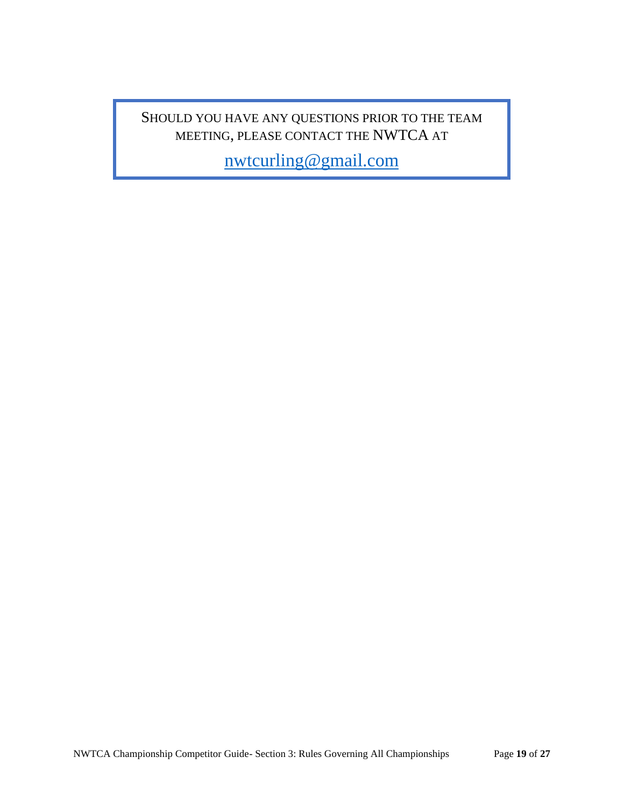#### SHOULD YOU HAVE ANY QUESTIONS PRIOR TO THE TEAM MEETING, PLEASE CONTACT THE NWTCA AT

[nwtcurling@gmail.com](mailto:nwtcurling@gmail.com)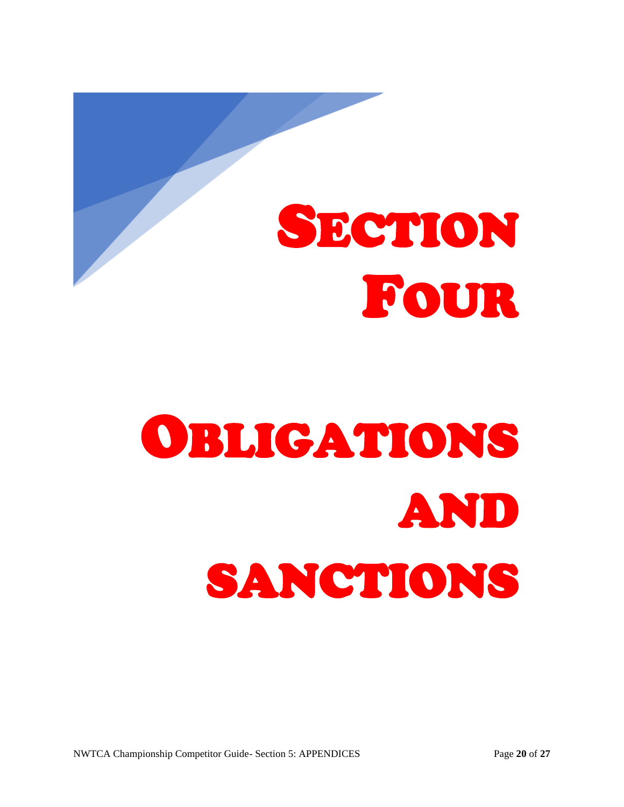<span id="page-19-0"></span>

# OBLIGATIONS AND SANCTIONS

NWTCA Championship Competitor Guide- Section 5: APPENDICES Page **20** of **27**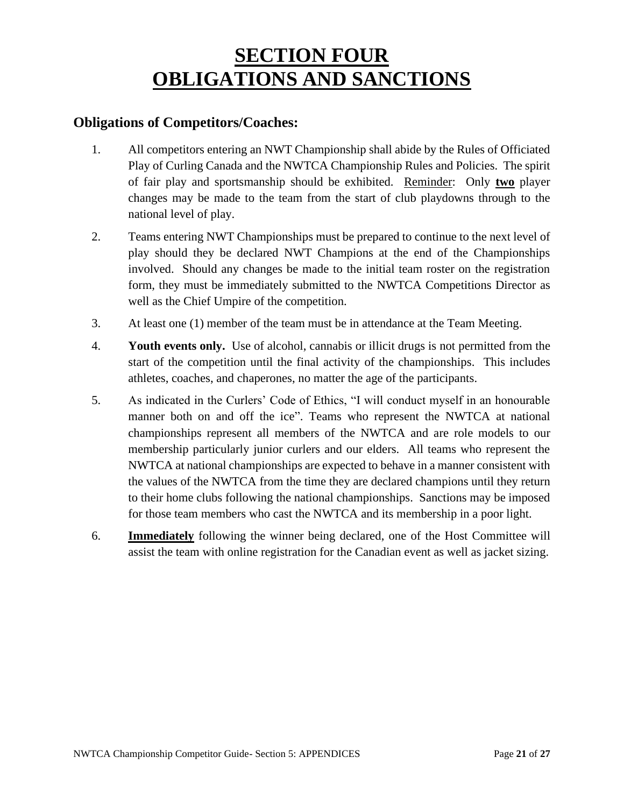## **SECTION FOUR OBLIGATIONS AND SANCTIONS**

#### <span id="page-20-0"></span>**Obligations of Competitors/Coaches:**

- 1. All competitors entering an NWT Championship shall abide by the Rules of Officiated Play of Curling Canada and the NWTCA Championship Rules and Policies. The spirit of fair play and sportsmanship should be exhibited. Reminder: Only **two** player changes may be made to the team from the start of club playdowns through to the national level of play.
- 2. Teams entering NWT Championships must be prepared to continue to the next level of play should they be declared NWT Champions at the end of the Championships involved. Should any changes be made to the initial team roster on the registration form, they must be immediately submitted to the NWTCA Competitions Director as well as the Chief Umpire of the competition.
- 3. At least one (1) member of the team must be in attendance at the Team Meeting.
- 4. **Youth events only.** Use of alcohol, cannabis or illicit drugs is not permitted from the start of the competition until the final activity of the championships. This includes athletes, coaches, and chaperones, no matter the age of the participants.
- 5. As indicated in the Curlers' Code of Ethics, "I will conduct myself in an honourable manner both on and off the ice". Teams who represent the NWTCA at national championships represent all members of the NWTCA and are role models to our membership particularly junior curlers and our elders. All teams who represent the NWTCA at national championships are expected to behave in a manner consistent with the values of the NWTCA from the time they are declared champions until they return to their home clubs following the national championships. Sanctions may be imposed for those team members who cast the NWTCA and its membership in a poor light.
- 6. **Immediately** following the winner being declared, one of the Host Committee will assist the team with online registration for the Canadian event as well as jacket sizing.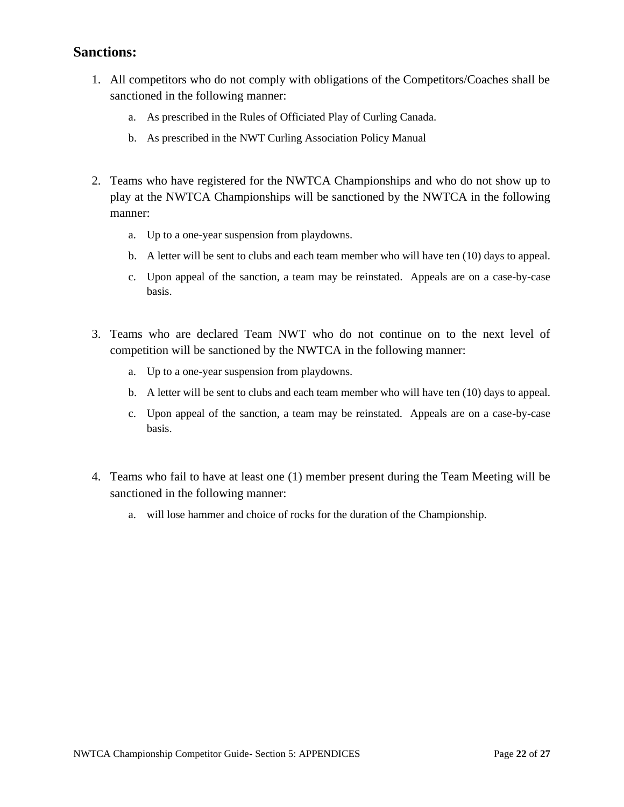#### <span id="page-21-0"></span>**Sanctions:**

- 1. All competitors who do not comply with obligations of the Competitors/Coaches shall be sanctioned in the following manner:
	- a. As prescribed in the Rules of Officiated Play of Curling Canada.
	- b. As prescribed in the NWT Curling Association Policy Manual
- 2. Teams who have registered for the NWTCA Championships and who do not show up to play at the NWTCA Championships will be sanctioned by the NWTCA in the following manner:
	- a. Up to a one-year suspension from playdowns.
	- b. A letter will be sent to clubs and each team member who will have ten (10) days to appeal.
	- c. Upon appeal of the sanction, a team may be reinstated. Appeals are on a case-by-case basis.
- 3. Teams who are declared Team NWT who do not continue on to the next level of competition will be sanctioned by the NWTCA in the following manner:
	- a. Up to a one-year suspension from playdowns.
	- b. A letter will be sent to clubs and each team member who will have ten (10) days to appeal.
	- c. Upon appeal of the sanction, a team may be reinstated. Appeals are on a case-by-case basis.
- 4. Teams who fail to have at least one (1) member present during the Team Meeting will be sanctioned in the following manner:
	- a. will lose hammer and choice of rocks for the duration of the Championship.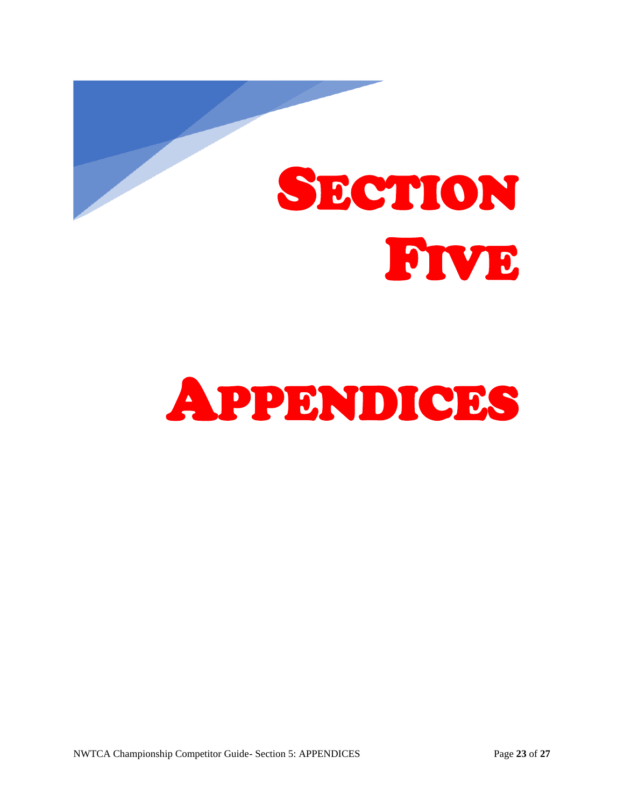<span id="page-22-0"></span>

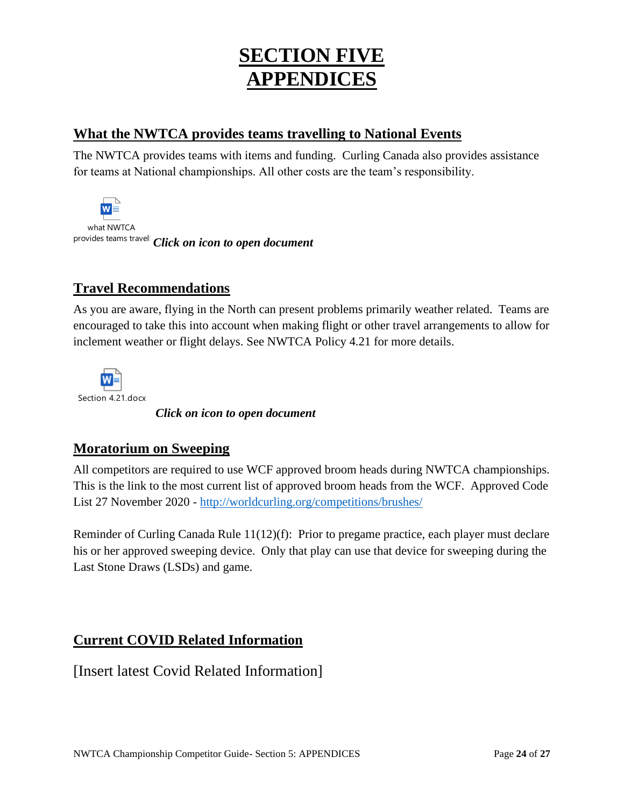## **SECTION FIVE APPENDICES**

#### <span id="page-23-0"></span>**What the NWTCA provides teams travelling to National Events**

The NWTCA provides teams with items and funding. Curling Canada also provides assistance for teams at National championships. All other costs are the team's responsibility.

 $W \equiv$ what NWTCA provides teams travell *Click on icon to open document* 

#### <span id="page-23-1"></span>**Travel Recommendations**

As you are aware, flying in the North can present problems primarily weather related. Teams are encouraged to take this into account when making flight or other travel arrangements to allow for inclement weather or flight delays. See NWTCA Policy 4.21 for more details.



*Click on icon to open document* 

#### <span id="page-23-2"></span>**Moratorium on Sweeping**

All competitors are required to use WCF approved broom heads during NWTCA championships. This is the link to the most current list of approved broom heads from the WCF. Approved Code List 27 November 2020 - <http://worldcurling.org/competitions/brushes/>

Reminder of Curling Canada Rule 11(12)(f): Prior to pregame practice, each player must declare his or her approved sweeping device. Only that play can use that device for sweeping during the Last Stone Draws (LSDs) and game.

#### <span id="page-23-3"></span>**Current COVID Related Information**

[Insert latest Covid Related Information]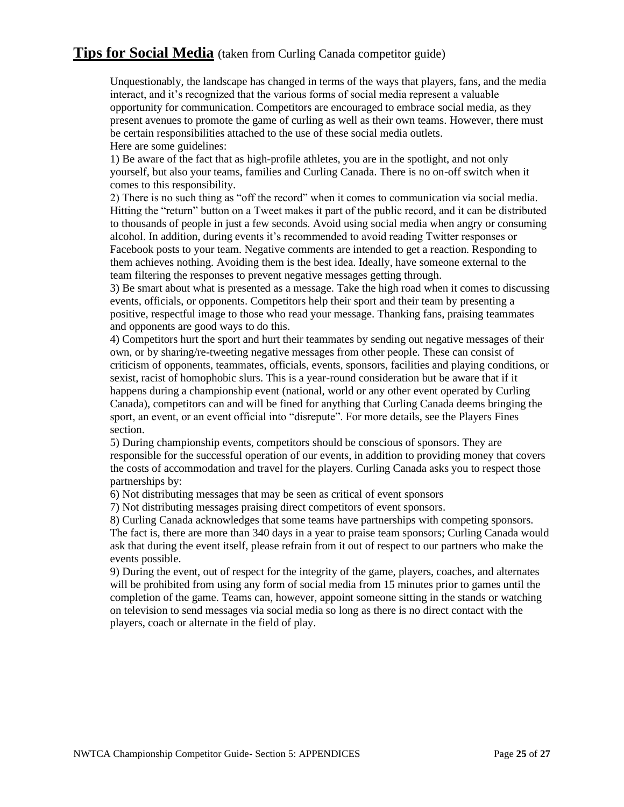#### **Tips for Social Media** (taken from Curling Canada competitor guide)

Unquestionably, the landscape has changed in terms of the ways that players, fans, and the media interact, and it's recognized that the various forms of social media represent a valuable opportunity for communication. Competitors are encouraged to embrace social media, as they present avenues to promote the game of curling as well as their own teams. However, there must be certain responsibilities attached to the use of these social media outlets. Here are some guidelines:

1) Be aware of the fact that as high-profile athletes, you are in the spotlight, and not only yourself, but also your teams, families and Curling Canada. There is no on-off switch when it comes to this responsibility.

2) There is no such thing as "off the record" when it comes to communication via social media. Hitting the "return" button on a Tweet makes it part of the public record, and it can be distributed to thousands of people in just a few seconds. Avoid using social media when angry or consuming alcohol. In addition, during events it's recommended to avoid reading Twitter responses or Facebook posts to your team. Negative comments are intended to get a reaction. Responding to them achieves nothing. Avoiding them is the best idea. Ideally, have someone external to the team filtering the responses to prevent negative messages getting through.

3) Be smart about what is presented as a message. Take the high road when it comes to discussing events, officials, or opponents. Competitors help their sport and their team by presenting a positive, respectful image to those who read your message. Thanking fans, praising teammates and opponents are good ways to do this.

4) Competitors hurt the sport and hurt their teammates by sending out negative messages of their own, or by sharing/re-tweeting negative messages from other people. These can consist of criticism of opponents, teammates, officials, events, sponsors, facilities and playing conditions, or sexist, racist of homophobic slurs. This is a year-round consideration but be aware that if it happens during a championship event (national, world or any other event operated by Curling Canada), competitors can and will be fined for anything that Curling Canada deems bringing the sport, an event, or an event official into "disrepute". For more details, see the Players Fines section.

5) During championship events, competitors should be conscious of sponsors. They are responsible for the successful operation of our events, in addition to providing money that covers the costs of accommodation and travel for the players. Curling Canada asks you to respect those partnerships by:

6) Not distributing messages that may be seen as critical of event sponsors

7) Not distributing messages praising direct competitors of event sponsors.

8) Curling Canada acknowledges that some teams have partnerships with competing sponsors. The fact is, there are more than 340 days in a year to praise team sponsors; Curling Canada would ask that during the event itself, please refrain from it out of respect to our partners who make the events possible.

9) During the event, out of respect for the integrity of the game, players, coaches, and alternates will be prohibited from using any form of social media from 15 minutes prior to games until the completion of the game. Teams can, however, appoint someone sitting in the stands or watching on television to send messages via social media so long as there is no direct contact with the players, coach or alternate in the field of play.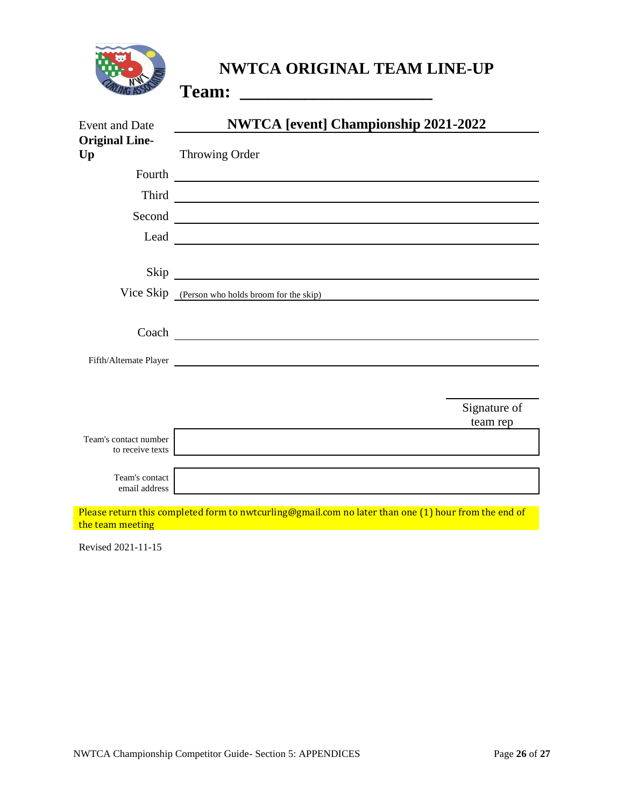

#### **NWTCA ORIGINAL TEAM LINE-UP**

**Team: \_\_\_\_\_\_\_\_\_\_\_\_\_\_\_\_\_\_\_\_\_**

| <b>Event and Date</b>                     | <b>NWTCA [event] Championship 2021-2022</b>                                                                          |  |
|-------------------------------------------|----------------------------------------------------------------------------------------------------------------------|--|
| <b>Original Line-</b><br>Up               | Throwing Order                                                                                                       |  |
| Fourth                                    | <u> 1980 - Jan Barbara Barbara, manazarta da </u>                                                                    |  |
| Third                                     | <u> 1980 - Johann Barn, mars ann an t-Amhain Aonaich an t-Aonaich an t-Aonaich ann an t-Aonaich ann an t-Aonaich</u> |  |
| Second                                    | <u> 1980 - Jan James James Barnett, fransk politik (d. 1980)</u>                                                     |  |
| Lead                                      |                                                                                                                      |  |
|                                           |                                                                                                                      |  |
|                                           | Vice Skip (Person who holds broom for the skip)                                                                      |  |
|                                           |                                                                                                                      |  |
|                                           |                                                                                                                      |  |
|                                           | Fifth/Alternate Player                                                                                               |  |
|                                           |                                                                                                                      |  |
|                                           | Signature of<br>team rep                                                                                             |  |
| Team's contact number<br>to receive texts |                                                                                                                      |  |
| Team's contact<br>email address           |                                                                                                                      |  |
| the team meeting                          | Please return this completed form to nwtcurling@gmail.com no later than one (1) hour from the end of                 |  |

Revised 2021-11-15